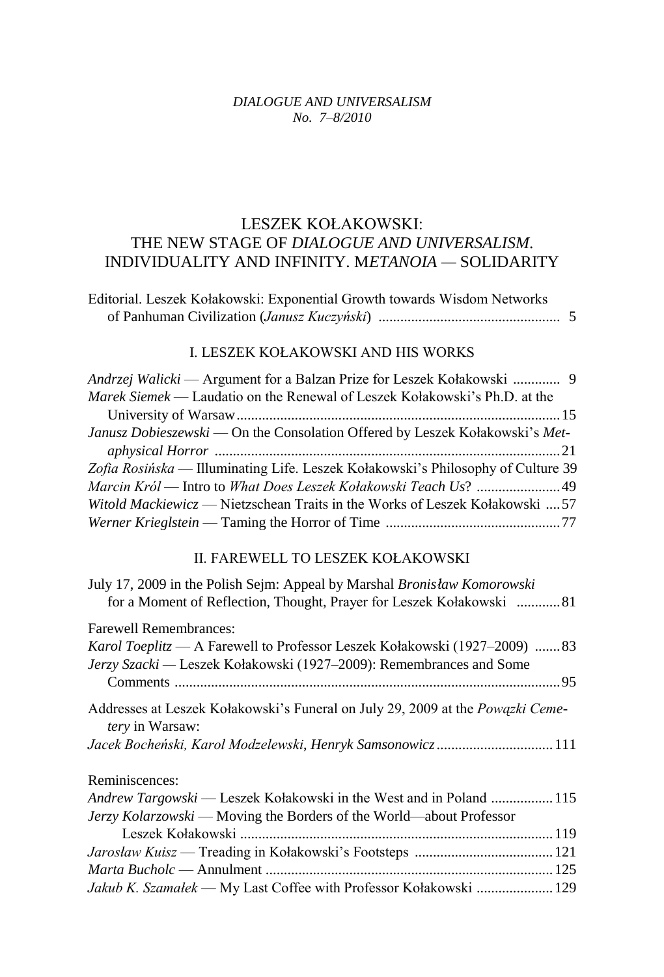## *DIALOGUE AND UNIVERSALISM No. 7–8/2010*

## LESZEK KOŁAKOWSKI: THE NEW STAGE OF *DIALOGUE AND UNIVERSALISM*. INDIVIDUALITY AND INFINITY. M*ETANOIA —* SOLIDARITY

| Editorial. Leszek Kołakowski: Exponential Growth towards Wisdom Networks |  |
|--------------------------------------------------------------------------|--|
|                                                                          |  |

## I. LESZEK KOŁAKOWSKI AND HIS WORKS

| Andrzej Walicki — Argument for a Balzan Prize for Leszek Kołakowski  9           |
|----------------------------------------------------------------------------------|
| Marek Siemek — Laudatio on the Renewal of Leszek Kołakowski's Ph.D. at the       |
|                                                                                  |
| Janusz Dobieszewski — On the Consolation Offered by Leszek Kołakowski's Met-     |
|                                                                                  |
| Zofia Rosińska — Illuminating Life. Leszek Kołakowski's Philosophy of Culture 39 |
|                                                                                  |
| Witold Mackiewicz — Nietzschean Traits in the Works of Leszek Kołakowski  57     |
|                                                                                  |
|                                                                                  |

## II. FAREWELL TO LESZEK KOŁAKOWSKI

| for a Moment of Reflection, Thought, Prayer for Leszek Kołakowski  81                  |
|----------------------------------------------------------------------------------------|
|                                                                                        |
| Karol Toeplitz — A Farewell to Professor Leszek Kołakowski (1927–2009)  83             |
|                                                                                        |
| Addresses at Leszek Kołakowski's Funeral on July 29, 2009 at the <i>Powązki Ceme</i> - |
| Jacek Bocheński, Karol Modzelewski, Henryk Samsonowicz111                              |
|                                                                                        |
| Andrew Targowski — Leszek Kołakowski in the West and in Poland  115                    |
|                                                                                        |
|                                                                                        |
|                                                                                        |
|                                                                                        |
| Jakub K. Szamałek — My Last Coffee with Professor Kołakowski  129                      |
|                                                                                        |